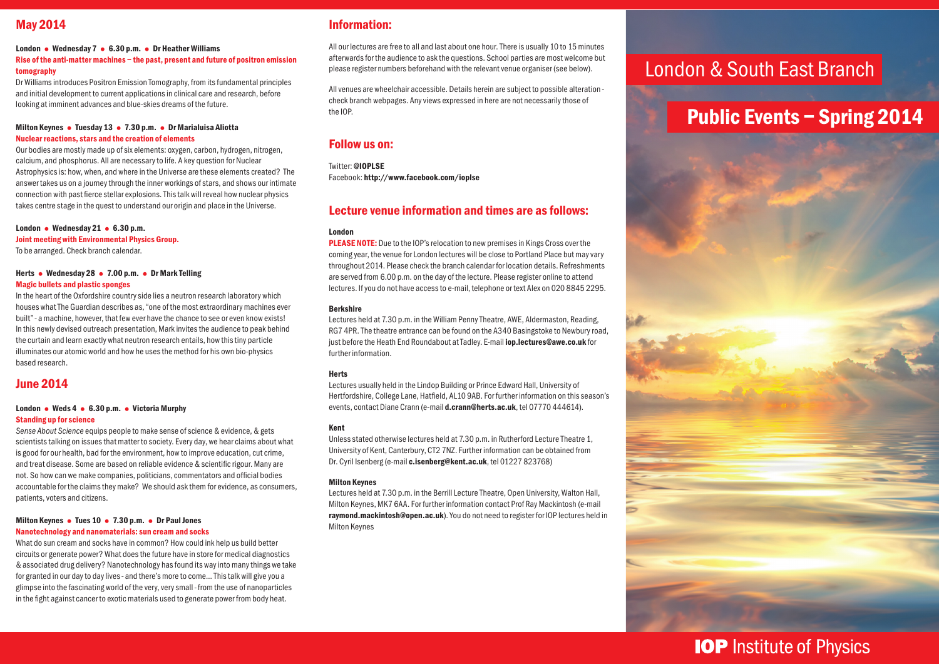## May 2014

#### London • Wednesday 7 • 6.30 p.m. • Dr Heather Williams Rise of the anti-matter machines – the past, present and future of positron emission tomography

Dr Williams introduces Positron Emission Tomography, from its fundamental principles and initial development to current applications in clinical care and research, before looking at imminent advances and blue-skies dreams of the future.

#### Milton Keynes • Tuesday 13 • 7.30 p.m. • Dr Marialuisa Aliotta Nuclear reactions, stars and the creation of elements

Our bodies are mostly made up of six elements: oxygen, carbon, hydrogen, nitrogen, calcium, and phosphorus. All are necessary to life. A key question for Nuclear Astrophysics is: how, when, and where in the Universe are these elements created? The answer takes us on a journey through the inner workings of stars, and shows our intimate connection with past fierce stellar explosions. This talk will reveal how nuclear physics takes centre stage in the quest to understand our origin and place in the Universe.

## London • Wednesday 21 • 6.30 p.m. Joint meeting with Environmental Physics Group.

To be arranged. Check branch calendar.

#### Herts • Wednesday 28 • 7.00 p.m. • Dr Mark Telling Magic bullets and plastic sponges

In the heart of the Oxfordshire country side lies a neutron research laboratory which houses what The Guardian describes as, "one of the most extraordinary machines ever built" - a machine, however, that few ever have the chance to see or even know exists! In this newly devised outreach presentation, Mark invites the audience to peak behind the curtain and learn exactly what neutron research entails, how this tiny particle illuminates our atomic world and how he uses the method for his own bio-physics based research.

### June 2014

#### London • Weds 4 • 6.30 p.m. • Victoria Murphy Standing up for science

*Sense About Science* equips people to make sense of science & evidence, & gets scientists talking on issues that matter to society. Every day, we hear claims about what is good for our health, bad for the environment, how to improve education, cut crime, and treat disease. Some are based on reliable evidence & scientific rigour. Many are not. So how can we make companies, politicians, commentators and official bodies accountable for the claims they make? We should ask them for evidence, as consumers, patients, voters and citizens.

#### Milton Keynes • Tues 10 • 7.30 p.m. • Dr Paul Jones Nanotechnology and nanomaterials: sun cream and socks

What do sun cream and socks have in common? How could ink help us build better circuits or generate power? What does the future have in store for medical diagnostics & associated drug delivery? Nanotechnology has found its way into many things we take for granted in our day to day lives - and there's more to come... This talk will give you a glimpse into the fascinating world of the very, very small - from the use of nanoparticles in the fight against cancer to exotic materials used to generate power from body heat.

### Information:

All our lectures are free to all and last about one hour. There is usually 10 to 15 minutes afterwards for the audience to ask the questions. School parties are most welcome but please register numbers beforehand with the relevant venue organiser (see below).

All venues are wheelchair accessible. Details herein are subject to possible alteration check branch webpages. Any views expressed in here are not necessarily those of the IOP.

### Follow us on:

Twitter: @IOPI SF Facebook: http://www.facebook.com/ioplse

## Lecture venue information and times are as follows:

#### London

**PLEASE NOTE:** Due to the IOP's relocation to new premises in Kings Cross over the coming year, the venue for London lectures will be close to Portland Place but may vary throughout 2014. Please check the branch calendar for location details. Refreshments are served from 6.00 p.m. on the day of the lecture. Please register online to attend lectures. If you do not have access to e-mail, telephone or text Alex on 020 8845 2295.

#### Berkshire

Lectures held at 7.30 p.m. in the William Penny Theatre, AWE, Aldermaston, Reading, RG7 4PR. The theatre entrance can be found on the A340 Basingstoke to Newbury road, just before the Heath End Roundabout at Tadley. E-mail iop.lectures@awe.co.uk for further information.

#### **Herts**

Lectures usually held in the Lindop Building or Prince Edward Hall, University of Hertfordshire, College Lane, Hatfield, AL10 9AB. For further information on this season's events, contact Diane Crann (e-mail d.crann@herts.ac.uk, tel 07770 444614).

#### Kent

Unless stated otherwise lectures held at 7.30 p.m. in Rutherford Lecture Theatre 1, University of Kent, Canterbury, CT2 7NZ. Further information can be obtained from Dr. Cyril Isenberg (e-mail c.isenberg@kent.ac.uk, tel 01227 823768)

#### Milton Keynes

Lectures held at 7.30 p.m. in the Berrill Lecture Theatre, Open University, Walton Hall, Milton Keynes, MK7 6AA. For further information contact Prof Ray Mackintosh (e-mail raymond.mackintosh@open.ac.uk). You do not need to register for IOP lectures held in Milton Keynes

## London & South East Branch

## Public Events – Spring 2014



## **IOP** Institute of Physics